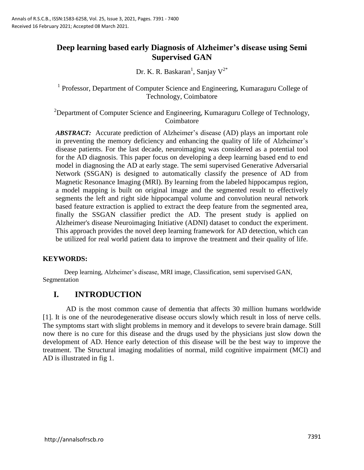# **Deep learning based early Diagnosis of Alzheimer's disease using Semi Supervised GAN**

Dr. K. R. Baskaran<sup>1</sup>, Sanjay  $V^{2^*}$ 

<sup>1</sup> Professor, Department of Computer Science and Engineering, Kumaraguru College of Technology, Coimbatore

<sup>2</sup>Department of Computer Science and Engineering, Kumaraguru College of Technology, Coimbatore

*ABSTRACT:* Accurate prediction of Alzheimer's disease (AD) plays an important role in preventing the memory deficiency and enhancing the quality of life of Alzheimer's disease patients. For the last decade, neuroimaging was considered as a potential tool for the AD diagnosis. This paper focus on developing a deep learning based end to end model in diagnosing the AD at early stage. The semi supervised Generative Adversarial Network (SSGAN) is designed to automatically classify the presence of AD from Magnetic Resonance Imaging (MRI). By learning from the labeled hippocampus region, a model mapping is built on original image and the segmented result to effectively segments the left and right side hippocampal volume and convolution neural network based feature extraction is applied to extract the deep feature from the segmented area, finally the SSGAN classifier predict the AD. The present study is applied on Alzheimer's disease Neuroimaging Initiative (ADNI) dataset to conduct the experiment. This approach provides the novel deep learning framework for AD detection, which can be utilized for real world patient data to improve the treatment and their quality of life.

# **KEYWORDS:**

Deep learning, Alzheimer"s disease, MRI image, Classification, semi supervised GAN, Segmentation

# **I. INTRODUCTION**

AD is the most common cause of dementia that affects 30 million humans worldwide [1]. It is one of the neurodegenerative disease occurs slowly which result in loss of nerve cells. The symptoms start with slight problems in memory and it develops to severe brain damage. Still now there is no cure for this disease and the drugs used by the physicians just slow down the development of AD. Hence early detection of this disease will be the best way to improve the treatment. The Structural imaging modalities of normal, mild cognitive impairment (MCI) and AD is illustrated in fig 1.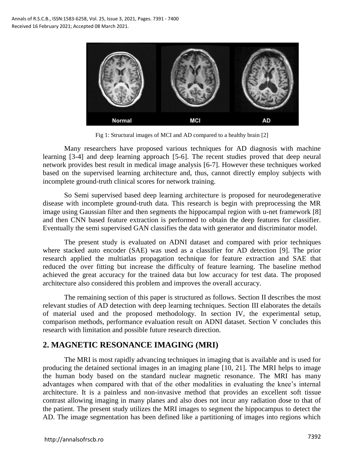

Fig 1: Structural images of MCI and AD compared to a healthy brain [2]

Many researchers have proposed various techniques for AD diagnosis with machine learning [3-4] and deep learning approach [5-6]. The recent studies proved that deep neural network provides best result in medical image analysis [6-7]. However these techniques worked based on the supervised learning architecture and, thus, cannot directly employ subjects with incomplete ground-truth clinical scores for network training.

So Semi supervised based deep learning architecture is proposed for neurodegenerative disease with incomplete ground-truth data. This research is begin with preprocessing the MR image using Gaussian filter and then segments the hippocampal region with u-net framework [8] and then CNN based feature extraction is performed to obtain the deep features for classifier. Eventually the semi supervised GAN classifies the data with generator and discriminator model.

The present study is evaluated on ADNI dataset and compared with prior techniques where stacked auto encoder (SAE) was used as a classifier for AD detection [9]. The prior research applied the multiatlas propagation technique for feature extraction and SAE that reduced the over fitting but increase the difficulty of feature learning. The baseline method achieved the great accuracy for the trained data but low accuracy for test data. The proposed architecture also considered this problem and improves the overall accuracy.

The remaining section of this paper is structured as follows. Section II describes the most relevant studies of AD detection with deep learning techniques. Section III elaborates the details of material used and the proposed methodology. In section IV, the experimental setup, comparison methods, performance evaluation result on ADNI dataset. Section V concludes this research with limitation and possible future research direction.

# **2. MAGNETIC RESONANCE IMAGING (MRI)**

The MRI is most rapidly advancing techniques in imaging that is available and is used for producing the detained sectional images in an imaging plane [10, 21]. The MRI helps to image the human body based on the standard nuclear magnetic resonance. The MRI has many advantages when compared with that of the other modalities in evaluating the knee"s internal architecture. It is a painless and non-invasive method that provides an excellent soft tissue contrast allowing imaging in many planes and also does not incur any radiation dose to that of the patient. The present study utilizes the MRI images to segment the hippocampus to detect the AD. The image segmentation has been defined like a partitioning of images into regions which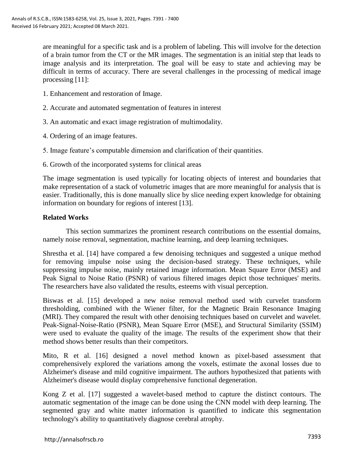are meaningful for a specific task and is a problem of labeling. This will involve for the detection of a brain tumor from the CT or the MR images. The segmentation is an initial step that leads to image analysis and its interpretation. The goal will be easy to state and achieving may be difficult in terms of accuracy. There are several challenges in the processing of medical image processing [11]:

- 1. Enhancement and restoration of Image.
- 2. Accurate and automated segmentation of features in interest
- 3. An automatic and exact image registration of multimodality.
- 4. Ordering of an image features.
- 5. Image feature"s computable dimension and clarification of their quantities.
- 6. Growth of the incorporated systems for clinical areas

The image segmentation is used typically for locating objects of interest and boundaries that make representation of a stack of volumetric images that are more meaningful for analysis that is easier. Traditionally, this is done manually slice by slice needing expert knowledge for obtaining information on boundary for regions of interest [13].

# **Related Works**

This section summarizes the prominent research contributions on the essential domains, namely noise removal, segmentation, machine learning, and deep learning techniques.

Shrestha et al. [14] have compared a few denoising techniques and suggested a unique method for removing impulse noise using the decision-based strategy. These techniques, while suppressing impulse noise, mainly retained image information. Mean Square Error (MSE) and Peak Signal to Noise Ratio (PSNR) of various filtered images depict those techniques' merits. The researchers have also validated the results, esteems with visual perception.

Biswas et al. [15] developed a new noise removal method used with curvelet transform thresholding, combined with the Wiener filter, for the Magnetic Brain Resonance Imaging (MRI). They compared the result with other denoising techniques based on curvelet and wavelet. Peak-Signal-Noise-Ratio (PSNR), Mean Square Error (MSE), and Structural Similarity (SSIM) were used to evaluate the quality of the image. The results of the experiment show that their method shows better results than their competitors.

Mito, R et al. [16] designed a novel method known as pixel-based assessment that comprehensively explored the variations among the voxels, estimate the axonal losses due to Alzheimer's disease and mild cognitive impairment. The authors hypothesized that patients with Alzheimer's disease would display comprehensive functional degeneration.

Kong Z et al. [17] suggested a wavelet-based method to capture the distinct contours. The automatic segmentation of the image can be done using the CNN model with deep learning. The segmented gray and white matter information is quantified to indicate this segmentation technology's ability to quantitatively diagnose cerebral atrophy.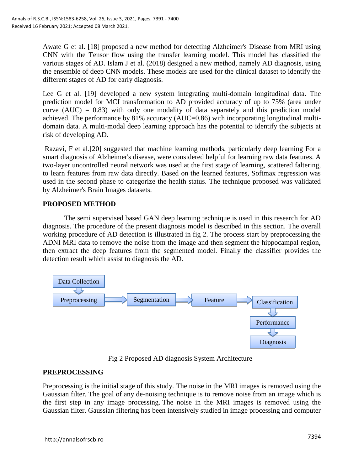Awate G et al. [18] proposed a new method for detecting Alzheimer's Disease from MRI using CNN with the Tensor flow using the transfer learning model. This model has classified the various stages of AD. Islam J et al. (2018) designed a new method, namely AD diagnosis, using the ensemble of deep CNN models. These models are used for the clinical dataset to identify the different stages of AD for early diagnosis.

Lee G et al. [19] developed a new system integrating multi-domain longitudinal data. The prediction model for MCI transformation to AD provided accuracy of up to 75% (area under curve  $(AUC) = 0.83$ ) with only one modality of data separately and this prediction model achieved. The performance by 81% accuracy (AUC=0.86) with incorporating longitudinal multidomain data. A multi-modal deep learning approach has the potential to identify the subjects at risk of developing AD.

Razavi, F et al.[20] suggested that machine learning methods, particularly deep learning For a smart diagnosis of Alzheimer's disease, were considered helpful for learning raw data features. A two-layer uncontrolled neural network was used at the first stage of learning, scattered faltering, to learn features from raw data directly. Based on the learned features, Softmax regression was used in the second phase to categorize the health status. The technique proposed was validated by Alzheimer's Brain Images datasets.

# **PROPOSED METHOD**

The semi supervised based GAN deep learning technique is used in this research for AD diagnosis. The procedure of the present diagnosis model is described in this section. The overall working procedure of AD detection is illustrated in fig 2. The process start by preprocessing the ADNI MRI data to remove the noise from the image and then segment the hippocampal region, then extract the deep features from the segmented model. Finally the classifier provides the detection result which assist to diagnosis the AD.



Fig 2 Proposed AD diagnosis System Architecture

# **PREPROCESSING**

Preprocessing is the initial stage of this study. The noise in the MRI images is removed using the Gaussian filter. The goal of any de-noising technique is to remove noise from an image which is the first step in any image processing. The noise in the MRI images is removed using the Gaussian filter. Gaussian filtering has been intensively studied in image processing and computer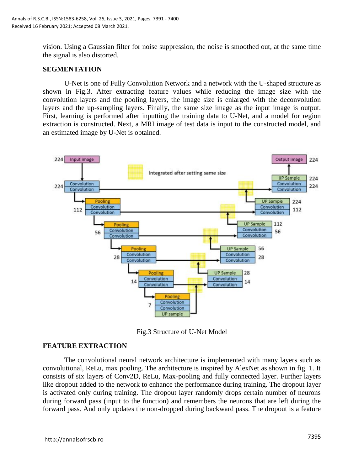vision. Using a Gaussian filter for noise suppression, the noise is smoothed out, at the same time the signal is also distorted.

#### **SEGMENTATION**

U-Net is one of Fully Convolution Network and a network with the U-shaped structure as shown in Fig.3. After extracting feature values while reducing the image size with the convolution layers and the pooling layers, the image size is enlarged with the deconvolution layers and the up-sampling layers. Finally, the same size image as the input image is output. First, learning is performed after inputting the training data to U-Net, and a model for region extraction is constructed. Next, a MRI image of test data is input to the constructed model, and an estimated image by U-Net is obtained.



Fig.3 Structure of U-Net Model

# **FEATURE EXTRACTION**

The convolutional neural network architecture is implemented with many layers such as convolutional, ReLu, max pooling. The architecture is inspired by AlexNet as shown in fig. 1. It consists of six layers of Conv2D, ReLu, Max-pooling and fully connected layer. Further layers like dropout added to the network to enhance the performance during training. The dropout layer is activated only during training. The dropout layer randomly drops certain number of neurons during forward pass (input to the function) and remembers the neurons that are left during the forward pass. And only updates the non-dropped during backward pass. The dropout is a feature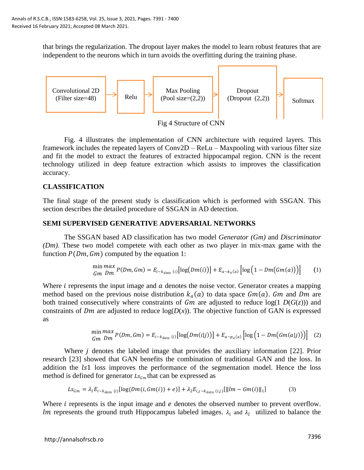that brings the regularization. The dropout layer makes the model to learn robust features that are independent to the neurons which in turn avoids the overfitting during the training phase.



Fig 4 Structure of CNN

Fig. 4 illustrates the implementation of CNN architecture with required layers. This framework includes the repeated layers of Conv2D – ReLu – Maxpooling with various filter size and fit the model to extract the features of extracted hippocampal region. CNN is the recent technology utilized in deep feature extraction which assists to improves the classification accuracy.

# **CLASSIFICATION**

The final stage of the present study is classification which is performed with SSGAN. This section describes the detailed procedure of SSGAN in AD detection.

# **SEMI SUPERVISED GENERATIVE ADVERSARIAL NETWORKS**

The SSGAN based AD classification has two model *Generator (Gm)* and *Discriminator (Dm)*. These two model competete with each other as two player in mix-max game with the function  $P(Dm, Gm)$  computed by the equation 1:

$$
\min_{Gm} \max_{Dm} P(Dm, Gm) = E_{i \sim k_{data} (i)} [\log(Dm(i))] + E_{a \sim k_a(a)} [\log(1 - Dm(Gm(a)))] \tag{1}
$$

Where  $i$  represents the input image and  $\alpha$  denotes the noise vector. Generator creates a mapping method based on the previous noise distribution  $k_a(a)$  to data space  $Gm(a)$ . Gm and Dm are both trained consecutively where constraints of  $Gm$  are adjusted to reduce  $log(1 D(G(z)))$  and constraints of *Dm* are adjusted to reduce  $log(D(x))$ . The objective function of GAN is expressed as

$$
\min_{Gm} \max_{Dm} P(Dm, Gm) = E_{i \sim k_{data}(i)} [\log(Dm(i|j))] + E_{a \sim p_a(a)} [\log(1 - Dm(Gm(a|j)))] \quad (2)
$$

Where  $j$  denotes the labeled image that provides the auxiliary information [22]. Prior research [23] showed that GAN benefits the combination of traditional GAN and the loss. In addition the  $1s1$  loss improves the performance of the segmentation model. Hence the loss method is defined for generator  $Ls_{\zeta_m}$  that can be expressed as

$$
Ls_{Gm} = \lambda_1 E_{i \sim k_{data} (i)} [\log(Dm(i, Gm(i)) + e)] + \lambda_2 E_{i,j \sim k_{data} (i,j)} [\|lm - Gm(i)\|_1]
$$
 (3)

Where  $\dot{i}$  represents is the input image and  $e$  denotes the observed number to prevent overflow. Im represents the ground truth Hippocampus labeled images.  $\lambda_1$  and  $\lambda_2$  utilized to balance the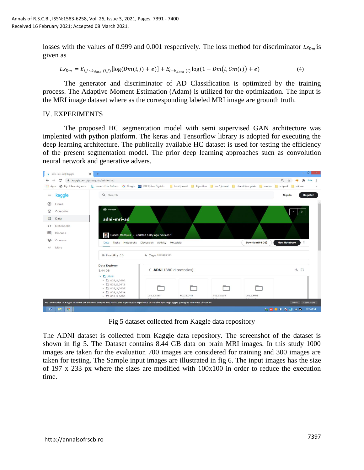losses with the values of 0.999 and 0.001 respectively. The loss method for discriminator  $L_{\mathcal{S}_{Dm}}$  is given as

$$
Ls_{Dm} = E_{i,j \sim k_{data} (i,j)} [log(Dm(i,j) + e)] + E_{i \sim k_{data} (i)} log(1 - Dm(i, Gm(i)) + e)
$$
 (4)

The generator and discriminator of AD Classification is optimized by the training process. The Adaptive Moment Estimation (Adam) is utilized for the optimization. The input is the MRI image dataset where as the corresponding labeled MRI image are grounth truth.

#### IV. EXPERIMENTS

The proposed HC segmentation model with semi supervised GAN architecture was implented with python platform. The keras and Tensorflow library is adopted for executing the deep learning architecture. The publically available HC dataset is used for testing the efficiency of the present segmentation model. The prior deep learning approaches sucn as convolution neural network and generative advers.



Fig 5 dataset collected from Kaggle data repository

The ADNI dataset is collected from Kaggle data repository. The screenshot of the dataset is shown in fig 5. The Dataset contains 8.44 GB data on brain MRI images. In this study 1000 images are taken for the evaluation 700 images are considered for training and 300 images are taken for testing. The Sample input images are illustrated in fig 6. The input images has the size of 197 x 233 px where the sizes are modified with 100x100 in order to reduce the execution time.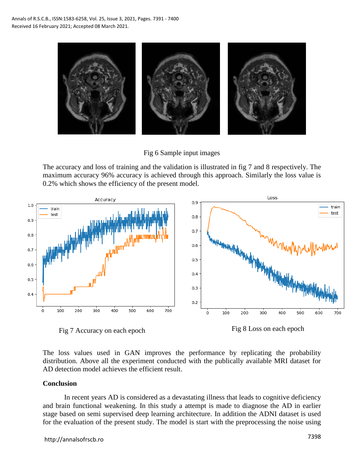

Fig 6 Sample input images

The accuracy and loss of training and the validation is illustrated in fig 7 and 8 respectively. The maximum accuracy 96% accuracy is achieved through this approach. Similarly the loss value is 0.2% which shows the efficiency of the present model.





The loss values used in GAN improves the performance by replicating the probability distribution. Above all the experiment conducted with the publically available MRI dataset for AD detection model achieves the efficient result.

#### **Conclusion**

In recent years AD is considered as a devastating illness that leads to cognitive deficiency and brain functional weakening. In this study a attempt is made to diagnose the AD in earlier stage based on semi supervised deep learning architecture. In addition the ADNI dataset is used for the evaluation of the present study. The model is start with the preprocessing the noise using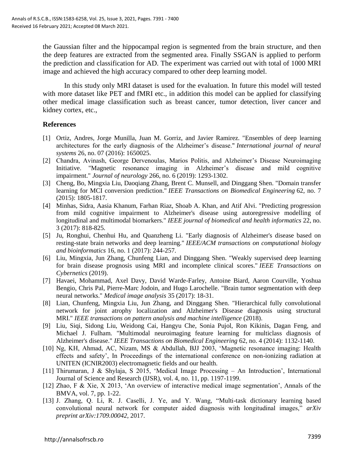the Gaussian filter and the hippocampal region is segmented from the brain structure, and then the deep features are extracted from the segmented area. Finally SSGAN is applied to perform the prediction and classification for AD. The experiment was carried out with total of 1000 MRI image and achieved the high accuracy compared to other deep learning model.

In this study only MRI dataset is used for the evaluation. In future this model will tested with more dataset like PET and fMRI etc., in addition this model can be applied for classifying other medical image classification such as breast cancer, tumor detection, liver cancer and kidney cortex, etc.,

#### **References**

- [1] Ortiz, Andres, Jorge Munilla, Juan M. Gorriz, and Javier Ramirez. "Ensembles of deep learning architectures for the early diagnosis of the Alzheimer"s disease." *International journal of neural systems* 26, no. 07 (2016): 1650025.
- [2] Chandra, Avinash, George Dervenoulas, Marios Politis, and Alzheimer's Disease Neuroimaging Initiative. "Magnetic resonance imaging in Alzheimer"s disease and mild cognitive impairment." *Journal of neurology* 266, no. 6 (2019): 1293-1302.
- [3] Cheng, Bo, Mingxia Liu, Daoqiang Zhang, Brent C. Munsell, and Dinggang Shen. "Domain transfer learning for MCI conversion prediction." *IEEE Transactions on Biomedical Engineering* 62, no. 7 (2015): 1805-1817.
- [4] Minhas, Sidra, Aasia Khanum, Farhan Riaz, Shoab A. Khan, and Atif Alvi. "Predicting progression from mild cognitive impairment to Alzheimer's disease using autoregressive modelling of longitudinal and multimodal biomarkers." *IEEE journal of biomedical and health informatics* 22, no. 3 (2017): 818-825.
- [5] Ju, Ronghui, Chenhui Hu, and Quanzheng Li. "Early diagnosis of Alzheimer's disease based on resting-state brain networks and deep learning." *IEEE/ACM transactions on computational biology and bioinformatics* 16, no. 1 (2017): 244-257.
- [6] Liu, Mingxia, Jun Zhang, Chunfeng Lian, and Dinggang Shen. "Weakly supervised deep learning for brain disease prognosis using MRI and incomplete clinical scores." *IEEE Transactions on Cybernetics* (2019).
- [7] Havaei, Mohammad, Axel Davy, David Warde-Farley, Antoine Biard, Aaron Courville, Yoshua Bengio, Chris Pal, Pierre-Marc Jodoin, and Hugo Larochelle. "Brain tumor segmentation with deep neural networks." *Medical image analysis* 35 (2017): 18-31.
- [8] Lian, Chunfeng, Mingxia Liu, Jun Zhang, and Dinggang Shen. "Hierarchical fully convolutional network for joint atrophy localization and Alzheimer's Disease diagnosis using structural MRI." *IEEE transactions on pattern analysis and machine intelligence* (2018).
- [9] Liu, Siqi, Sidong Liu, Weidong Cai, Hangyu Che, Sonia Pujol, Ron Kikinis, Dagan Feng, and Michael J. Fulham. "Multimodal neuroimaging feature learning for multiclass diagnosis of Alzheimer's disease." *IEEE Transactions on Biomedical Engineering* 62, no. 4 (2014): 1132-1140.
- [10] Ng, KH, Ahmad, AC, Nizam, MS & Abdullah, BJJ 2003, "Magnetic resonance imaging: Health effects and safety", In Proceedings of the international conference on non-ionizing radiation at UNITEN (ICNIR2003) electromagnetic fields and our health.
- [11] Thirumaran, J & Shylaja, S 2015, "Medical Image Processing An Introduction", International Journal of Science and Research (IJSR), vol. 4, no. 11, pp. 1197-1199.
- [12] Zhao, F & Xie, X 2013, "An overview of interactive medical image segmentation", Annals of the BMVA, vol. 7, pp. 1-22.
- [13] J. Zhang, Q. Li, R. J. Caselli, J. Ye, and Y. Wang, "Multi-task dictionary learning based convolutional neural network for computer aided diagnosis with longitudinal images," *arXiv preprint arXiv:1709.00042*, 2017.